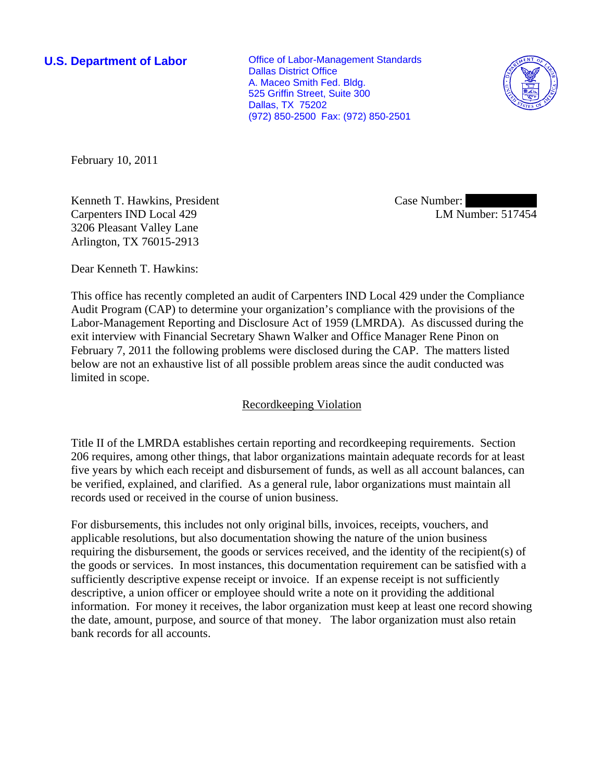**U.S. Department of Labor Conservative Conservative Conservative Conservative Conservative Conservative Conservative Conservative Conservative Conservative Conservative Conservative Conservative Conservative Conservative** Dallas District Office A. Maceo Smith Fed. Bldg. 525 Griffin Street, Suite 300 Dallas, TX 75202 (972) 850-2500 Fax: (972) 850-2501



February 10, 2011

Kenneth T. Hawkins, President Carpenters IND Local 429 3206 Pleasant Valley Lane Arlington, TX 76015-2913

Case Number: LM Number: 517454

Dear Kenneth T. Hawkins:

This office has recently completed an audit of Carpenters IND Local 429 under the Compliance Audit Program (CAP) to determine your organization's compliance with the provisions of the Labor-Management Reporting and Disclosure Act of 1959 (LMRDA). As discussed during the exit interview with Financial Secretary Shawn Walker and Office Manager Rene Pinon on February 7, 2011 the following problems were disclosed during the CAP. The matters listed below are not an exhaustive list of all possible problem areas since the audit conducted was limited in scope.

## Recordkeeping Violation

Title II of the LMRDA establishes certain reporting and recordkeeping requirements. Section 206 requires, among other things, that labor organizations maintain adequate records for at least five years by which each receipt and disbursement of funds, as well as all account balances, can be verified, explained, and clarified. As a general rule, labor organizations must maintain all records used or received in the course of union business.

For disbursements, this includes not only original bills, invoices, receipts, vouchers, and applicable resolutions, but also documentation showing the nature of the union business requiring the disbursement, the goods or services received, and the identity of the recipient(s) of the goods or services. In most instances, this documentation requirement can be satisfied with a sufficiently descriptive expense receipt or invoice. If an expense receipt is not sufficiently descriptive, a union officer or employee should write a note on it providing the additional information. For money it receives, the labor organization must keep at least one record showing the date, amount, purpose, and source of that money. The labor organization must also retain bank records for all accounts.